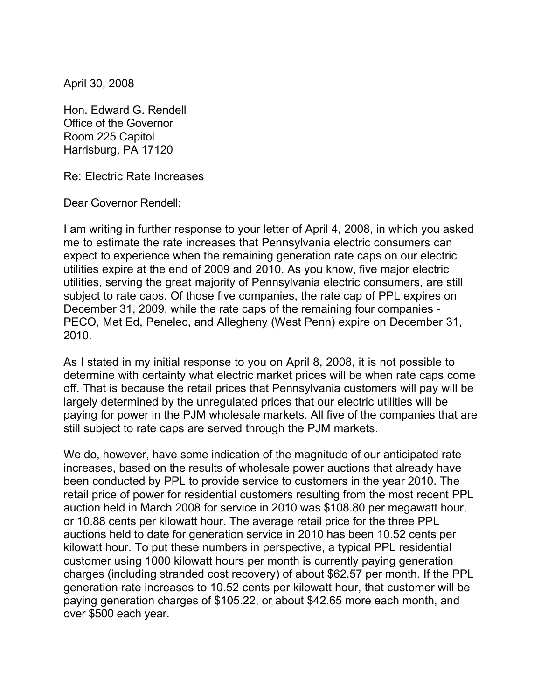April 30, 2008

Hon. Edward G. Rendell Office of the Governor Room 225 Capitol Harrisburg, PA 17120

Re: Electric Rate Increases

Dear Governor Rendell:

I am writing in further response to your letter of April 4, 2008, in which you asked me to estimate the rate increases that Pennsylvania electric consumers can expect to experience when the remaining generation rate caps on our electric utilities expire at the end of 2009 and 2010. As you know, five major electric utilities, serving the great majority of Pennsylvania electric consumers, are still subject to rate caps. Of those five companies, the rate cap of PPL expires on December 31, 2009, while the rate caps of the remaining four companies - PECO, Met Ed, Penelec, and Allegheny (West Penn) expire on December 31, 2010.

As I stated in my initial response to you on April 8, 2008, it is not possible to determine with certainty what electric market prices will be when rate caps come off. That is because the retail prices that Pennsylvania customers will pay will be largely determined by the unregulated prices that our electric utilities will be paying for power in the PJM wholesale markets. All five of the companies that are still subject to rate caps are served through the PJM markets.

We do, however, have some indication of the magnitude of our anticipated rate increases, based on the results of wholesale power auctions that already have been conducted by PPL to provide service to customers in the year 2010. The retail price of power for residential customers resulting from the most recent PPL auction held in March 2008 for service in 2010 was \$108.80 per megawatt hour, or 10.88 cents per kilowatt hour. The average retail price for the three PPL auctions held to date for generation service in 2010 has been 10.52 cents per kilowatt hour. To put these numbers in perspective, a typical PPL residential customer using 1000 kilowatt hours per month is currently paying generation charges (including stranded cost recovery) of about \$62.57 per month. If the PPL generation rate increases to 10.52 cents per kilowatt hour, that customer will be paying generation charges of \$105.22, or about \$42.65 more each month, and over \$500 each year.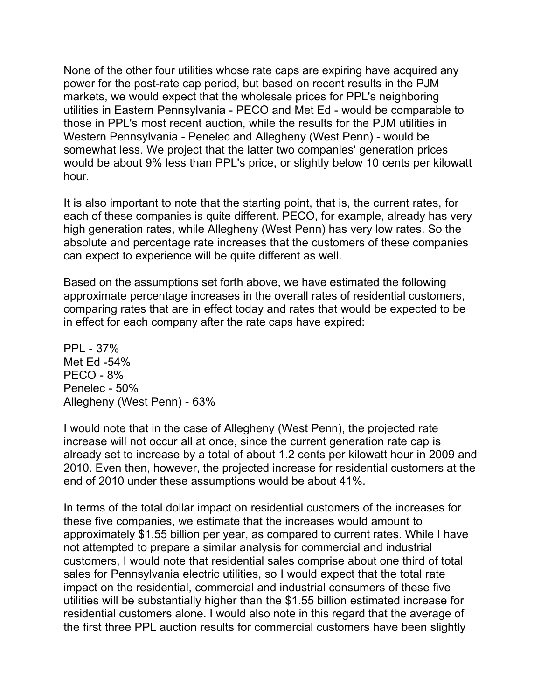None of the other four utilities whose rate caps are expiring have acquired any power for the post-rate cap period, but based on recent results in the PJM markets, we would expect that the wholesale prices for PPL's neighboring utilities in Eastern Pennsylvania - PECO and Met Ed - would be comparable to those in PPL's most recent auction, while the results for the PJM utilities in Western Pennsylvania - Penelec and Allegheny (West Penn) - would be somewhat less. We project that the latter two companies' generation prices would be about 9% less than PPL's price, or slightly below 10 cents per kilowatt hour.

It is also important to note that the starting point, that is, the current rates, for each of these companies is quite different. PECO, for example, already has very high generation rates, while Allegheny (West Penn) has very low rates. So the absolute and percentage rate increases that the customers of these companies can expect to experience will be quite different as well.

Based on the assumptions set forth above, we have estimated the following approximate percentage increases in the overall rates of residential customers, comparing rates that are in effect today and rates that would be expected to be in effect for each company after the rate caps have expired:

PPL - 37% Met Ed -54% PECO - 8% Penelec - 50% Allegheny (West Penn) - 63%

I would note that in the case of Allegheny (West Penn), the projected rate increase will not occur all at once, since the current generation rate cap is already set to increase by a total of about 1.2 cents per kilowatt hour in 2009 and 2010. Even then, however, the projected increase for residential customers at the end of 2010 under these assumptions would be about 41%.

In terms of the total dollar impact on residential customers of the increases for these five companies, we estimate that the increases would amount to approximately \$1.55 billion per year, as compared to current rates. While I have not attempted to prepare a similar analysis for commercial and industrial customers, I would note that residential sales comprise about one third of total sales for Pennsylvania electric utilities, so I would expect that the total rate impact on the residential, commercial and industrial consumers of these five utilities will be substantially higher than the \$1.55 billion estimated increase for residential customers alone. I would also note in this regard that the average of the first three PPL auction results for commercial customers have been slightly